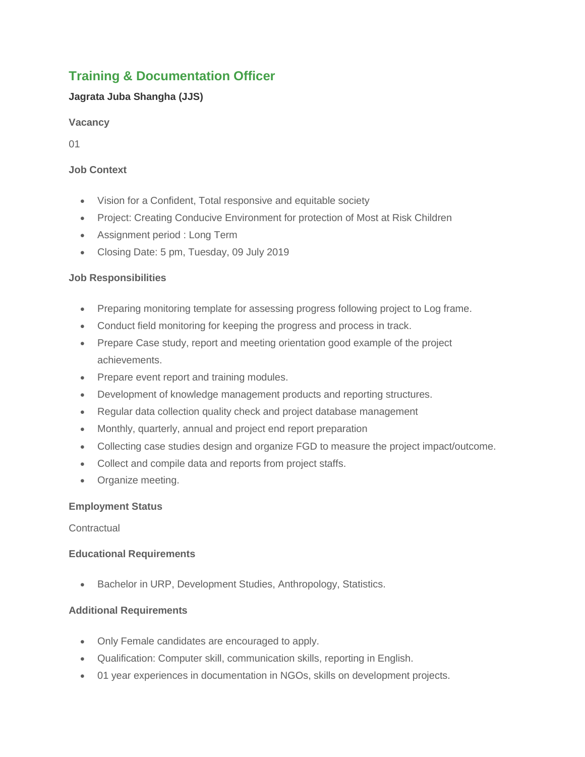# **Training & Documentation Officer**

# **Jagrata Juba Shangha (JJS)**

## **Vacancy**

01

## **Job Context**

- Vision for a Confident, Total responsive and equitable society
- Project: Creating Conducive Environment for protection of Most at Risk Children
- Assignment period : Long Term
- Closing Date: 5 pm, Tuesday, 09 July 2019

## **Job Responsibilities**

- Preparing monitoring template for assessing progress following project to Log frame.
- Conduct field monitoring for keeping the progress and process in track.
- Prepare Case study, report and meeting orientation good example of the project achievements.
- Prepare event report and training modules.
- Development of knowledge management products and reporting structures.
- Regular data collection quality check and project database management
- Monthly, quarterly, annual and project end report preparation
- Collecting case studies design and organize FGD to measure the project impact/outcome.
- Collect and compile data and reports from project staffs.
- Organize meeting.

### **Employment Status**

### **Contractual**

### **Educational Requirements**

Bachelor in URP, Development Studies, Anthropology, Statistics.

### **Additional Requirements**

- Only Female candidates are encouraged to apply.
- Qualification: Computer skill, communication skills, reporting in English.
- 01 year experiences in documentation in NGOs, skills on development projects.